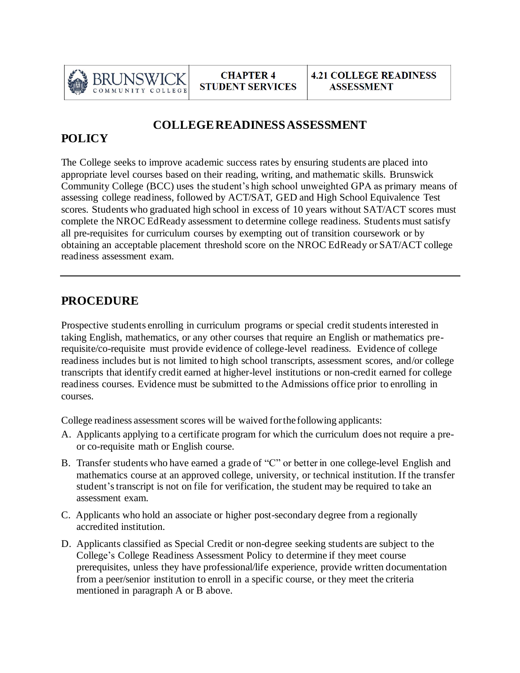

### **COLLEGE READINESS ASSESSMENT**

# **POLICY**

The College seeks to improve academic success rates by ensuring students are placed into appropriate level courses based on their reading, writing, and mathematic skills. Brunswick Community College (BCC) uses the student's high school unweighted GPA as primary means of assessing college readiness, followed by ACT/SAT, GED and High School Equivalence Test scores. Students who graduated high school in excess of 10 years without SAT/ACT scores must complete the NROC EdReady assessment to determine college readiness. Students must satisfy all pre-requisites for curriculum courses by exempting out of transition coursework or by obtaining an acceptable placement threshold score on the NROC EdReady or SAT/ACT college readiness assessment exam.

## **PROCEDURE**

Prospective students enrolling in curriculum programs or special credit students interested in taking English, mathematics, or any other courses that require an English or mathematics prerequisite/co-requisite must provide evidence of college-level readiness. Evidence of college readiness includes but is not limited to high school transcripts, assessment scores, and/or college transcripts that identify credit earned at higher-level institutions or non-credit earned for college readiness courses. Evidence must be submitted to the Admissions office prior to enrolling in courses.

College readiness assessment scores will be waived forthe following applicants:

- A. Applicants applying to a certificate program for which the curriculum does not require a preor co-requisite math or English course.
- B. Transfer students who have earned a grade of "C" or better in one college-level English and mathematics course at an approved college, university, or technical institution. If the transfer student's transcript is not on file for verification, the student may be required to take an assessment exam.
- C. Applicants who hold an associate or higher post-secondary degree from a regionally accredited institution.
- D. Applicants classified as Special Credit or non-degree seeking students are subject to the College's College Readiness Assessment Policy to determine if they meet course prerequisites, unless they have professional/life experience, provide written documentation from a peer/senior institution to enroll in a specific course, or they meet the criteria mentioned in paragraph A or B above.